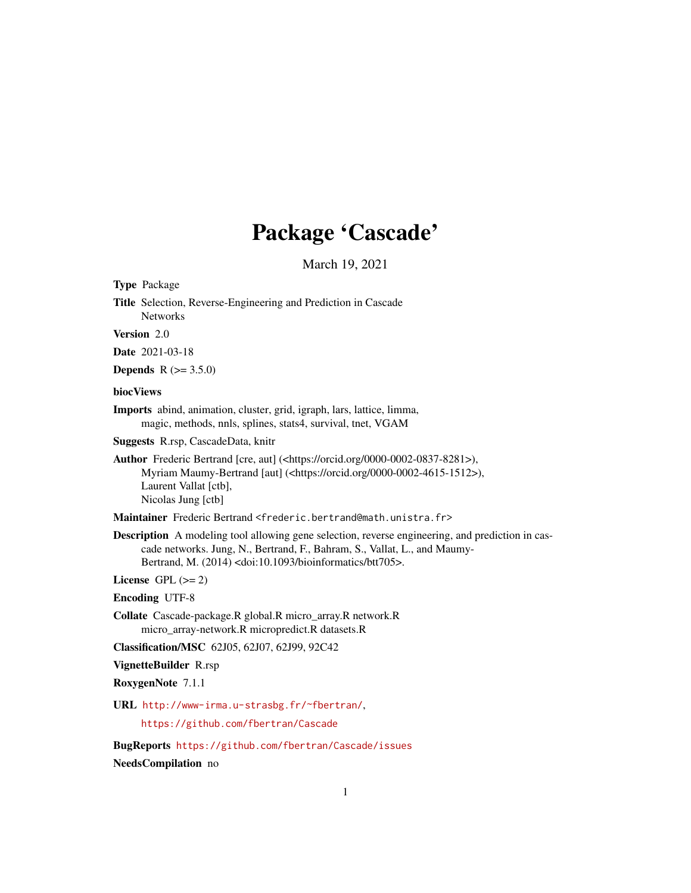# Package 'Cascade'

March 19, 2021

Type Package

Title Selection, Reverse-Engineering and Prediction in Cascade Networks

Version 2.0

Date 2021-03-18

**Depends** R  $(>= 3.5.0)$ 

# biocViews

Imports abind, animation, cluster, grid, igraph, lars, lattice, limma, magic, methods, nnls, splines, stats4, survival, tnet, VGAM

Suggests R.rsp, CascadeData, knitr

Author Frederic Bertrand [cre, aut] (<https://orcid.org/0000-0002-0837-8281>), Myriam Maumy-Bertrand [aut] (<https://orcid.org/0000-0002-4615-1512>), Laurent Vallat [ctb], Nicolas Jung [ctb]

Maintainer Frederic Bertrand <frederic.bertrand@math.unistra.fr>

Description A modeling tool allowing gene selection, reverse engineering, and prediction in cascade networks. Jung, N., Bertrand, F., Bahram, S., Vallat, L., and Maumy-Bertrand, M. (2014) <doi:10.1093/bioinformatics/btt705>.

License GPL  $(>= 2)$ 

Encoding UTF-8

Collate Cascade-package.R global.R micro\_array.R network.R micro\_array-network.R micropredict.R datasets.R

Classification/MSC 62J05, 62J07, 62J99, 92C42

VignetteBuilder R.rsp

RoxygenNote 7.1.1

URL <http://www-irma.u-strasbg.fr/~fbertran/>,

<https://github.com/fbertran/Cascade>

BugReports <https://github.com/fbertran/Cascade/issues>

NeedsCompilation no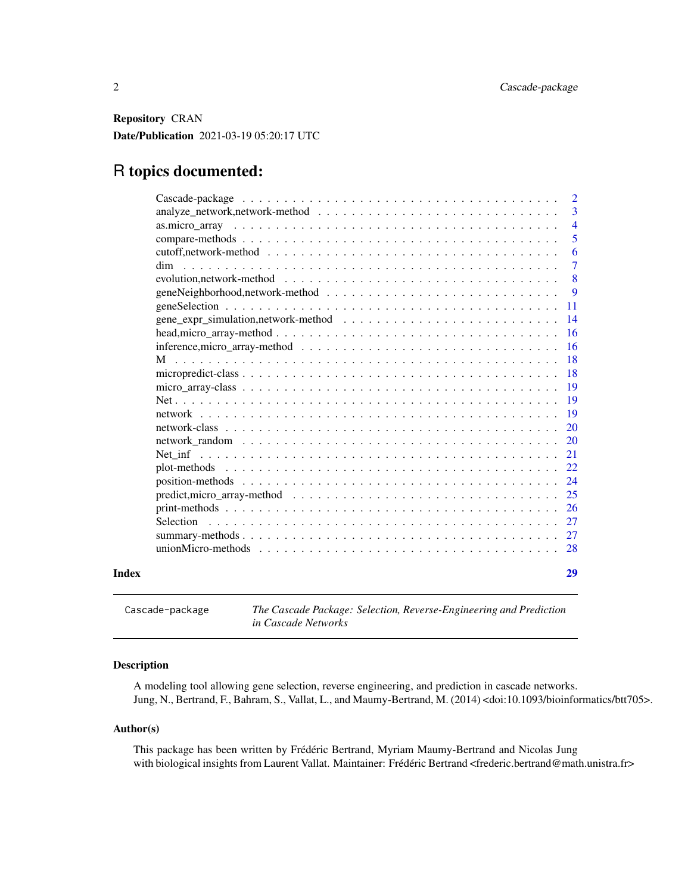<span id="page-1-0"></span>Repository CRAN Date/Publication 2021-03-19 05:20:17 UTC

# R topics documented:

|       |                                                                                                                     | $\overline{\phantom{0}}^2$ |
|-------|---------------------------------------------------------------------------------------------------------------------|----------------------------|
|       |                                                                                                                     | 3                          |
|       |                                                                                                                     | $\overline{4}$             |
|       |                                                                                                                     | 5                          |
|       |                                                                                                                     | 6                          |
|       | dim                                                                                                                 | $\overline{7}$             |
|       |                                                                                                                     | 8                          |
|       |                                                                                                                     | 9                          |
|       |                                                                                                                     | <b>11</b>                  |
|       |                                                                                                                     | $\overline{14}$            |
|       |                                                                                                                     | <b>16</b>                  |
|       |                                                                                                                     |                            |
|       |                                                                                                                     | <b>18</b>                  |
|       |                                                                                                                     |                            |
|       | $micro\_array\cdot class \dots \dots \dots \dots \dots \dots \dots \dots \dots \dots \dots \dots \dots \dots \dots$ | -19                        |
|       |                                                                                                                     | $-19$                      |
|       |                                                                                                                     | $\overline{19}$            |
|       |                                                                                                                     |                            |
|       |                                                                                                                     |                            |
|       |                                                                                                                     | 21                         |
|       |                                                                                                                     |                            |
|       |                                                                                                                     |                            |
|       |                                                                                                                     |                            |
|       |                                                                                                                     |                            |
|       | Selection                                                                                                           |                            |
|       |                                                                                                                     |                            |
|       |                                                                                                                     |                            |
|       |                                                                                                                     |                            |
| Index |                                                                                                                     | 29                         |
|       |                                                                                                                     |                            |

Cascade-package *The Cascade Package: Selection, Reverse-Engineering and Prediction in Cascade Networks*

# Description

A modeling tool allowing gene selection, reverse engineering, and prediction in cascade networks. Jung, N., Bertrand, F., Bahram, S., Vallat, L., and Maumy-Bertrand, M. (2014) <doi:10.1093/bioinformatics/btt705>.

#### Author(s)

This package has been written by Frédéric Bertrand, Myriam Maumy-Bertrand and Nicolas Jung with biological insights from Laurent Vallat. Maintainer: Frédéric Bertrand <frederic.bertrand@math.unistra.fr>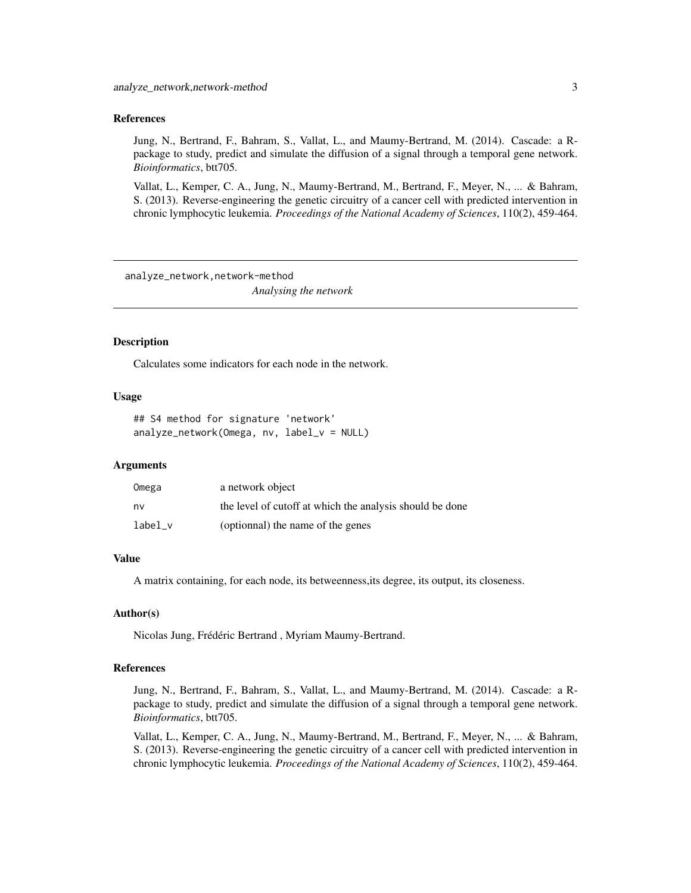#### <span id="page-2-0"></span>References

Jung, N., Bertrand, F., Bahram, S., Vallat, L., and Maumy-Bertrand, M. (2014). Cascade: a Rpackage to study, predict and simulate the diffusion of a signal through a temporal gene network. *Bioinformatics*, btt705.

Vallat, L., Kemper, C. A., Jung, N., Maumy-Bertrand, M., Bertrand, F., Meyer, N., ... & Bahram, S. (2013). Reverse-engineering the genetic circuitry of a cancer cell with predicted intervention in chronic lymphocytic leukemia. *Proceedings of the National Academy of Sciences*, 110(2), 459-464.

analyze\_network,network-method *Analysing the network*

#### Description

Calculates some indicators for each node in the network.

#### Usage

```
## S4 method for signature 'network'
analyze_network(Omega, nv, label_v = NULL)
```
#### Arguments

| Omega   | a network object                                         |
|---------|----------------------------------------------------------|
| nv      | the level of cutoff at which the analysis should be done |
| label v | (optionnal) the name of the genes                        |

#### Value

A matrix containing, for each node, its betweenness,its degree, its output, its closeness.

#### Author(s)

Nicolas Jung, Frédéric Bertrand , Myriam Maumy-Bertrand.

#### References

Jung, N., Bertrand, F., Bahram, S., Vallat, L., and Maumy-Bertrand, M. (2014). Cascade: a Rpackage to study, predict and simulate the diffusion of a signal through a temporal gene network. *Bioinformatics*, btt705.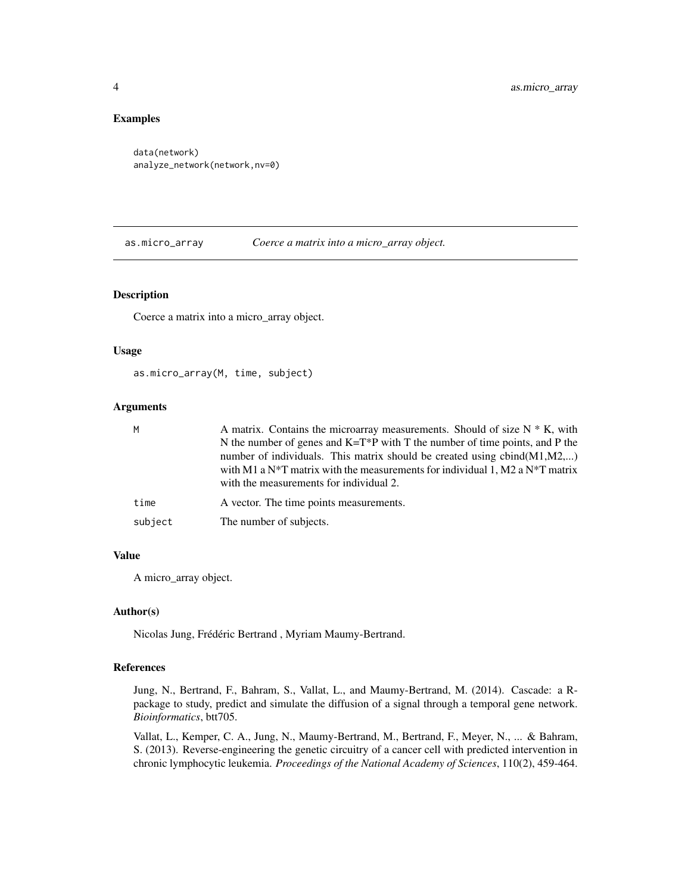# <span id="page-3-0"></span>Examples

```
data(network)
analyze_network(network,nv=0)
```
as.micro\_array *Coerce a matrix into a micro\_array object.*

#### Description

Coerce a matrix into a micro\_array object.

#### Usage

as.micro\_array(M, time, subject)

#### Arguments

| M       | A matrix. Contains the microarray measurements. Should of size $N * K$ , with                                                                                                                                                                                          |
|---------|------------------------------------------------------------------------------------------------------------------------------------------------------------------------------------------------------------------------------------------------------------------------|
|         | N the number of genes and $K=T^*P$ with T the number of time points, and P the<br>number of individuals. This matrix should be created using $cbind(M1,M2,)$<br>with M1 a N <sup>*</sup> T matrix with the measurements for individual 1, M2 a N <sup>*</sup> T matrix |
|         | with the measurements for individual 2.                                                                                                                                                                                                                                |
| time    | A vector. The time points measurements.                                                                                                                                                                                                                                |
| subject | The number of subjects.                                                                                                                                                                                                                                                |

# Value

A micro\_array object.

#### Author(s)

Nicolas Jung, Frédéric Bertrand , Myriam Maumy-Bertrand.

# References

Jung, N., Bertrand, F., Bahram, S., Vallat, L., and Maumy-Bertrand, M. (2014). Cascade: a Rpackage to study, predict and simulate the diffusion of a signal through a temporal gene network. *Bioinformatics*, btt705.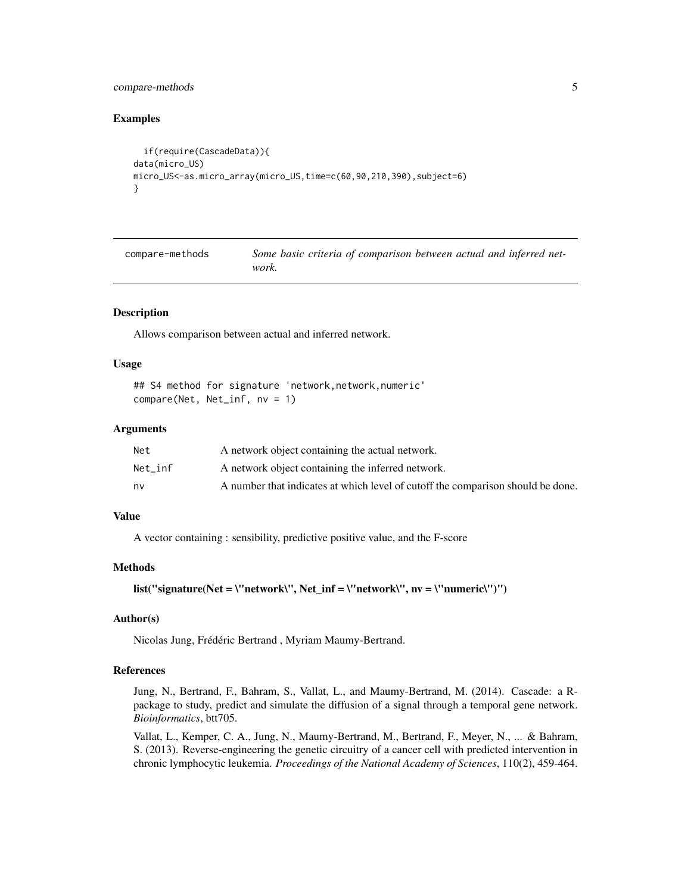# <span id="page-4-0"></span>compare-methods 5

#### Examples

```
if(require(CascadeData)){
data(micro_US)
micro_US<-as.micro_array(micro_US,time=c(60,90,210,390),subject=6)
}
```

| compare-methods | Some basic criteria of comparison between actual and inferred net- |
|-----------------|--------------------------------------------------------------------|
|                 | work.                                                              |

#### Description

Allows comparison between actual and inferred network.

#### Usage

```
## S4 method for signature 'network, network, numeric'
compare(Net, Net_inf, nv = 1)
```
# Arguments

| Net     | A network object containing the actual network.                                 |
|---------|---------------------------------------------------------------------------------|
| Net inf | A network object containing the inferred network.                               |
| nv      | A number that indicates at which level of cutoff the comparison should be done. |

# Value

A vector containing : sensibility, predictive positive value, and the F-score

#### Methods

list("signature(Net = \"network\", Net\_inf = \"network\", nv = \"numeric\")")

## Author(s)

Nicolas Jung, Frédéric Bertrand , Myriam Maumy-Bertrand.

# References

Jung, N., Bertrand, F., Bahram, S., Vallat, L., and Maumy-Bertrand, M. (2014). Cascade: a Rpackage to study, predict and simulate the diffusion of a signal through a temporal gene network. *Bioinformatics*, btt705.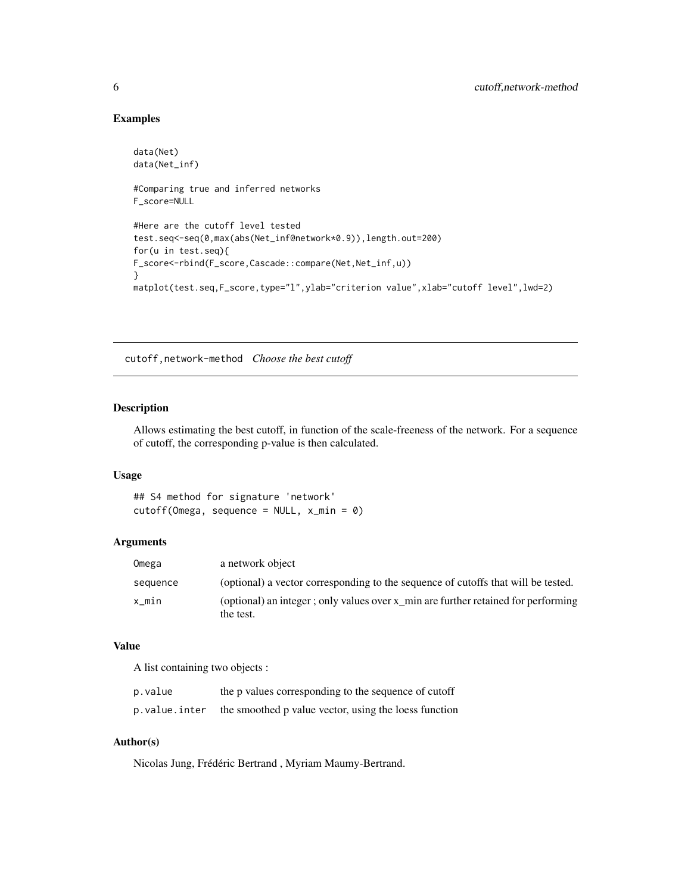# Examples

```
data(Net)
data(Net_inf)
#Comparing true and inferred networks
F_score=NULL
#Here are the cutoff level tested
test.seq<-seq(0,max(abs(Net_inf@network*0.9)),length.out=200)
for(u in test.seq){
F_score<-rbind(F_score,Cascade::compare(Net,Net_inf,u))
}
matplot(test.seq,F_score,type="l",ylab="criterion value",xlab="cutoff level",lwd=2)
```
cutoff,network-method *Choose the best cutoff*

# Description

Allows estimating the best cutoff, in function of the scale-freeness of the network. For a sequence of cutoff, the corresponding p-value is then calculated.

#### Usage

## S4 method for signature 'network'  $cutoff(Omega, sequence = NULL, x=min = 0)$ 

# Arguments

| Omega    | a network object                                                                               |
|----------|------------------------------------------------------------------------------------------------|
| sequence | (optional) a vector corresponding to the sequence of cutoffs that will be tested.              |
| x min    | (optional) an integer; only values over x min are further retained for performing<br>the test. |

#### Value

A list containing two objects :

| p.value       | the p values corresponding to the sequence of cutoff  |
|---------------|-------------------------------------------------------|
| p.value.inter | the smoothed p value vector, using the loess function |

# Author(s)

Nicolas Jung, Frédéric Bertrand , Myriam Maumy-Bertrand.

<span id="page-5-0"></span>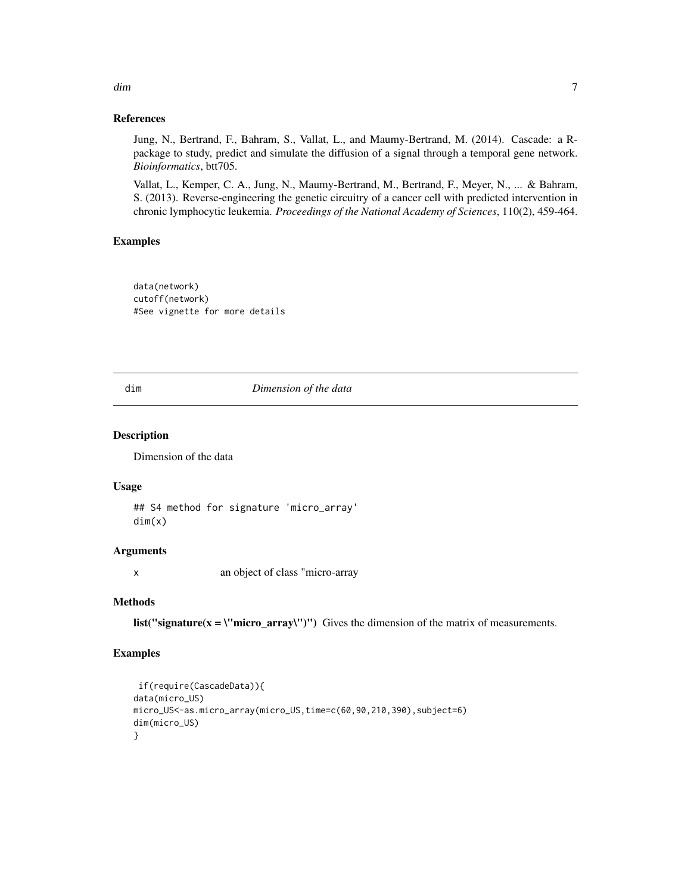#### References

Jung, N., Bertrand, F., Bahram, S., Vallat, L., and Maumy-Bertrand, M. (2014). Cascade: a Rpackage to study, predict and simulate the diffusion of a signal through a temporal gene network. *Bioinformatics*, btt705.

Vallat, L., Kemper, C. A., Jung, N., Maumy-Bertrand, M., Bertrand, F., Meyer, N., ... & Bahram, S. (2013). Reverse-engineering the genetic circuitry of a cancer cell with predicted intervention in chronic lymphocytic leukemia. *Proceedings of the National Academy of Sciences*, 110(2), 459-464.

# Examples

data(network) cutoff(network) #See vignette for more details

#### dim *Dimension of the data*

#### Description

Dimension of the data

#### Usage

```
## S4 method for signature 'micro_array'
dim(x)
```
# Arguments

x an object of class "micro-array

# Methods

list("signature( $x = \text{``micro\_array''''''}$ ") Gives the dimension of the matrix of measurements.

#### Examples

```
if(require(CascadeData)){
data(micro_US)
micro_US<-as.micro_array(micro_US,time=c(60,90,210,390),subject=6)
dim(micro_US)
}
```
<span id="page-6-0"></span>dim and the contract of the contract of the contract of the contract of the contract of the contract of the contract of the contract of the contract of the contract of the contract of the contract of the contract of the co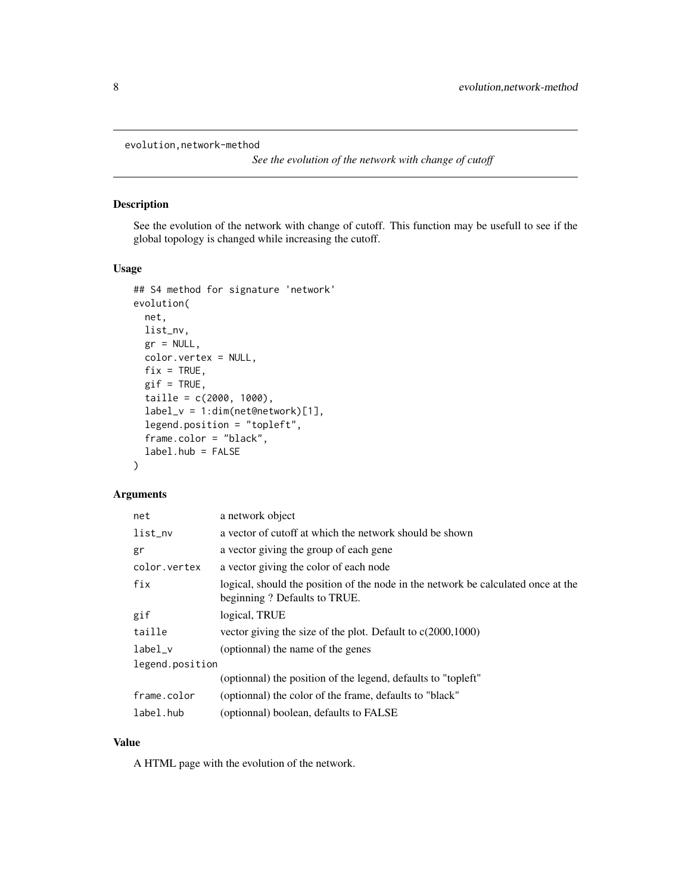<span id="page-7-0"></span>evolution,network-method

*See the evolution of the network with change of cutoff*

# Description

See the evolution of the network with change of cutoff. This function may be usefull to see if the global topology is changed while increasing the cutoff.

# Usage

```
## S4 method for signature 'network'
evolution(
 net,
  list_nv,
  gr = NULL,color.vertex = NULL,
  fix = TRUE,gif = TRUE,taille = c(2000, 1000),
  label_v = 1:dim(net@network)[1],
  legend.position = "topleft",
  frame.color = "black",
  label.hub = FALSE
\mathcal{L}
```
#### Arguments

| net             | a network object                                                                                                  |  |
|-----------------|-------------------------------------------------------------------------------------------------------------------|--|
| list_nv         | a vector of cutoff at which the network should be shown                                                           |  |
| gr              | a vector giving the group of each gene                                                                            |  |
| color.vertex    | a vector giving the color of each node                                                                            |  |
| fix             | logical, should the position of the node in the network be calculated once at the<br>beginning? Defaults to TRUE. |  |
| gif             | logical, TRUE                                                                                                     |  |
| taille          | vector giving the size of the plot. Default to $c(2000,1000)$                                                     |  |
| label v         | (optionnal) the name of the genes                                                                                 |  |
| legend.position |                                                                                                                   |  |
|                 | (optionnal) the position of the legend, defaults to "topleft"                                                     |  |
| frame.color     | (optionnal) the color of the frame, defaults to "black"                                                           |  |
| label.hub       | (optionnal) boolean, defaults to FALSE                                                                            |  |

# Value

A HTML page with the evolution of the network.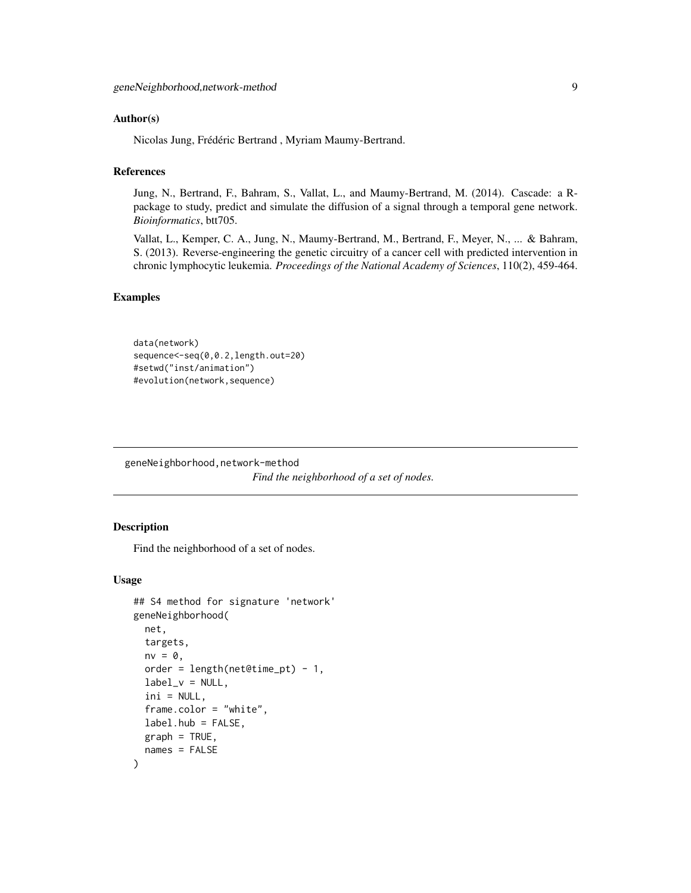#### <span id="page-8-0"></span>Author(s)

Nicolas Jung, Frédéric Bertrand , Myriam Maumy-Bertrand.

#### References

Jung, N., Bertrand, F., Bahram, S., Vallat, L., and Maumy-Bertrand, M. (2014). Cascade: a Rpackage to study, predict and simulate the diffusion of a signal through a temporal gene network. *Bioinformatics*, btt705.

Vallat, L., Kemper, C. A., Jung, N., Maumy-Bertrand, M., Bertrand, F., Meyer, N., ... & Bahram, S. (2013). Reverse-engineering the genetic circuitry of a cancer cell with predicted intervention in chronic lymphocytic leukemia. *Proceedings of the National Academy of Sciences*, 110(2), 459-464.

# Examples

```
data(network)
sequence<-seq(0,0.2,length.out=20)
#setwd("inst/animation")
#evolution(network,sequence)
```
geneNeighborhood,network-method *Find the neighborhood of a set of nodes.*

#### Description

Find the neighborhood of a set of nodes.

#### Usage

```
## S4 method for signature 'network'
geneNeighborhood(
 net,
  targets,
  nv = 0,
  order = length(net@time_pt) - 1,
  label_v = NULL,ini = NULL,frame.color = "white",
  label.hub = FALSE,
  graph = TRUE,names = FALSE
)
```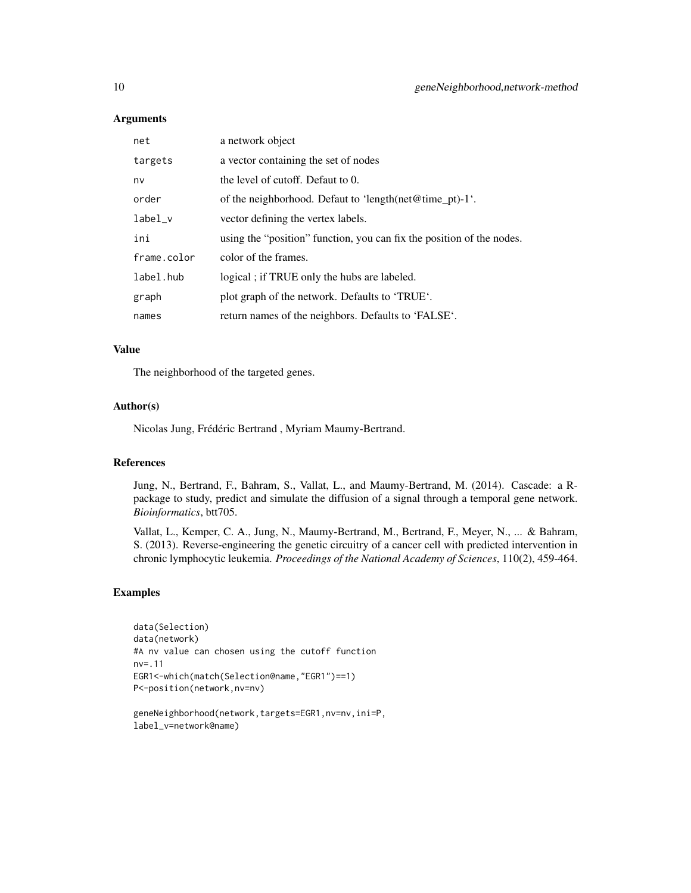#### **Arguments**

| net         | a network object                                                      |
|-------------|-----------------------------------------------------------------------|
| targets     | a vector containing the set of nodes                                  |
| nv          | the level of cutoff. Defaut to 0.                                     |
| order       | of the neighborhood. Defaut to 'length(net@time pt)-1'.               |
| $label_v$   | vector defining the vertex labels.                                    |
| ini         | using the "position" function, you can fix the position of the nodes. |
| frame.color | color of the frames.                                                  |
| label.hub   | logical; if TRUE only the hubs are labeled.                           |
| graph       | plot graph of the network. Defaults to 'TRUE'.                        |
| names       | return names of the neighbors. Defaults to 'FALSE'.                   |

# Value

The neighborhood of the targeted genes.

#### Author(s)

Nicolas Jung, Frédéric Bertrand , Myriam Maumy-Bertrand.

#### References

Jung, N., Bertrand, F., Bahram, S., Vallat, L., and Maumy-Bertrand, M. (2014). Cascade: a Rpackage to study, predict and simulate the diffusion of a signal through a temporal gene network. *Bioinformatics*, btt705.

Vallat, L., Kemper, C. A., Jung, N., Maumy-Bertrand, M., Bertrand, F., Meyer, N., ... & Bahram, S. (2013). Reverse-engineering the genetic circuitry of a cancer cell with predicted intervention in chronic lymphocytic leukemia. *Proceedings of the National Academy of Sciences*, 110(2), 459-464.

#### Examples

```
data(Selection)
data(network)
#A nv value can chosen using the cutoff function
nv=.11
EGR1<-which(match(Selection@name,"EGR1")==1)
P<-position(network,nv=nv)
```

```
geneNeighborhood(network,targets=EGR1,nv=nv,ini=P,
label_v=network@name)
```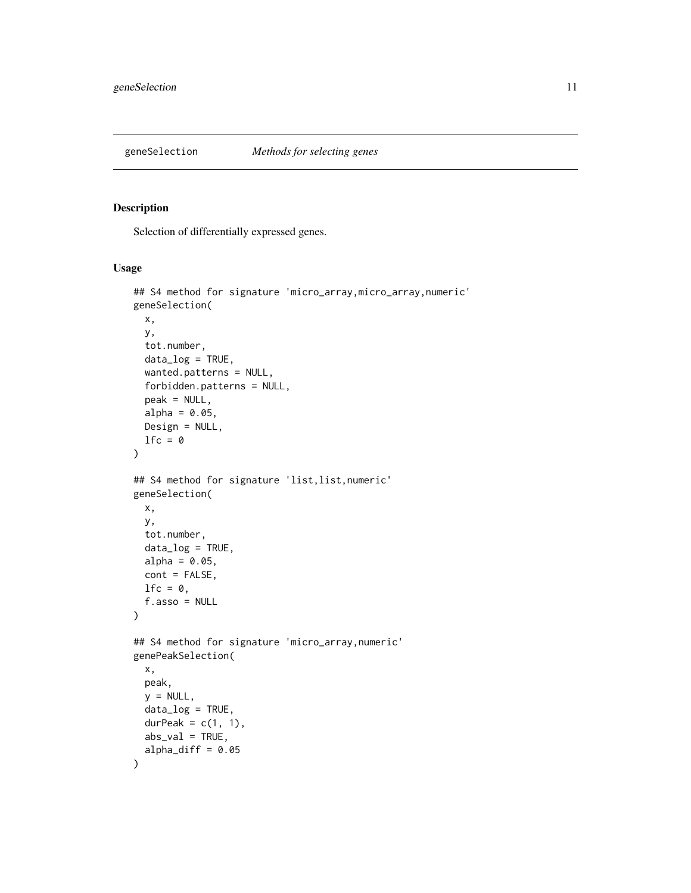<span id="page-10-0"></span>

# Description

Selection of differentially expressed genes.

# Usage

```
## S4 method for signature 'micro_array,micro_array,numeric'
geneSelection(
 x,
 y,
  tot.number,
 data_log = TRUE,
 wanted.patterns = NULL,
  forbidden.patterns = NULL,
 peak = NULL,
  alpha = 0.05,
 Design = NULL,
  lfc = 0\mathcal{L}## S4 method for signature 'list,list,numeric'
geneSelection(
 x,
 y,
  tot.number,
 data_log = TRUE,
 alpha = 0.05,
 cont = FALSE,lfc = 0,
 f.asso = NULL
\lambda## S4 method for signature 'micro_array,numeric'
genePeakSelection(
 x,
 peak,
 y = NULL,
 data_log = TRUE,
 durPeak = c(1, 1),abs_val = TRUE,alpha_diff = 0.05)
```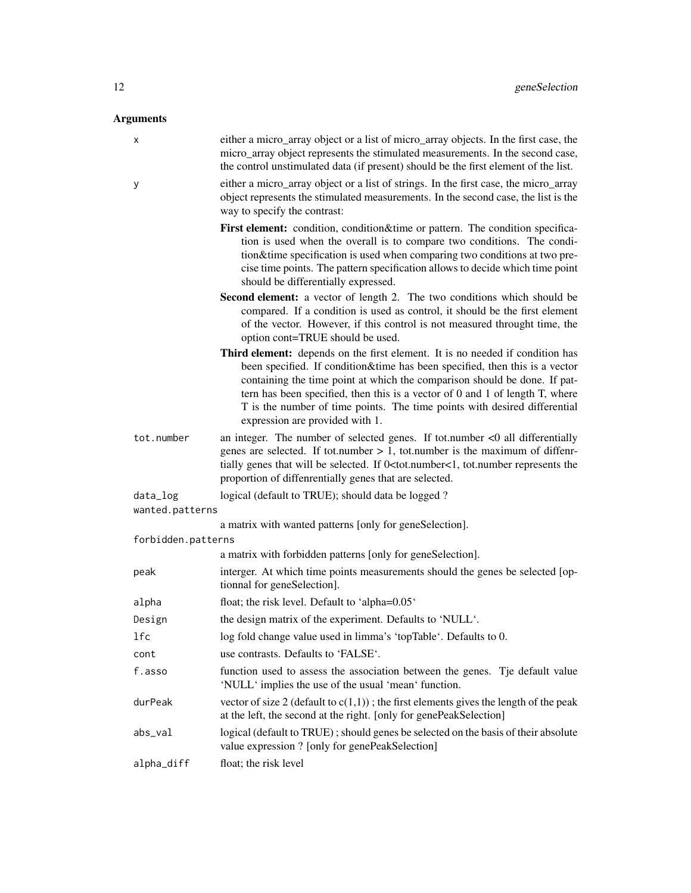# Arguments

| <u>аннения</u>     |                                                                                                                                                                                                                                                                                                                                                                                                                                           |
|--------------------|-------------------------------------------------------------------------------------------------------------------------------------------------------------------------------------------------------------------------------------------------------------------------------------------------------------------------------------------------------------------------------------------------------------------------------------------|
| х                  | either a micro_array object or a list of micro_array objects. In the first case, the<br>micro_array object represents the stimulated measurements. In the second case,<br>the control unstimulated data (if present) should be the first element of the list.                                                                                                                                                                             |
| У                  | either a micro_array object or a list of strings. In the first case, the micro_array<br>object represents the stimulated measurements. In the second case, the list is the<br>way to specify the contrast:                                                                                                                                                                                                                                |
|                    | First element: condition, condition&time or pattern. The condition specifica-<br>tion is used when the overall is to compare two conditions. The condi-<br>tion&time specification is used when comparing two conditions at two pre-<br>cise time points. The pattern specification allows to decide which time point<br>should be differentially expressed.                                                                              |
|                    | Second element: a vector of length 2. The two conditions which should be<br>compared. If a condition is used as control, it should be the first element<br>of the vector. However, if this control is not measured throught time, the<br>option cont=TRUE should be used.                                                                                                                                                                 |
|                    | Third element: depends on the first element. It is no needed if condition has<br>been specified. If condition&time has been specified, then this is a vector<br>containing the time point at which the comparison should be done. If pat-<br>tern has been specified, then this is a vector of 0 and 1 of length T, where<br>T is the number of time points. The time points with desired differential<br>expression are provided with 1. |
| tot.number         | an integer. The number of selected genes. If tot.number $<$ 0 all differentially<br>genes are selected. If tot.number $> 1$ , tot.number is the maximum of diffenr-<br>tially genes that will be selected. If 0 <tot.number<1, represents="" the<br="" tot.number="">proportion of diffenrentially genes that are selected.</tot.number<1,>                                                                                               |
| data_log           | logical (default to TRUE); should data be logged?                                                                                                                                                                                                                                                                                                                                                                                         |
| wanted.patterns    |                                                                                                                                                                                                                                                                                                                                                                                                                                           |
| forbidden.patterns | a matrix with wanted patterns [only for geneSelection].                                                                                                                                                                                                                                                                                                                                                                                   |
|                    | a matrix with forbidden patterns [only for geneSelection].                                                                                                                                                                                                                                                                                                                                                                                |
| peak               | interger. At which time points measurements should the genes be selected [op-<br>tionnal for geneSelection].                                                                                                                                                                                                                                                                                                                              |
| alpha              | float; the risk level. Default to 'alpha=0.05'                                                                                                                                                                                                                                                                                                                                                                                            |
| Design             | the design matrix of the experiment. Defaults to 'NULL'.                                                                                                                                                                                                                                                                                                                                                                                  |
| lfc                | log fold change value used in limma's 'topTable'. Defaults to 0.                                                                                                                                                                                                                                                                                                                                                                          |
| cont               | use contrasts. Defaults to 'FALSE'.                                                                                                                                                                                                                                                                                                                                                                                                       |
| f.asso             | function used to assess the association between the genes. Tje default value<br>'NULL' implies the use of the usual 'mean' function.                                                                                                                                                                                                                                                                                                      |
| durPeak            | vector of size 2 (default to $c(1,1)$ ); the first elements gives the length of the peak<br>at the left, the second at the right. [only for genePeakSelection]                                                                                                                                                                                                                                                                            |
| abs_val            | logical (default to TRUE); should genes be selected on the basis of their absolute<br>value expression ? [only for genePeakSelection]                                                                                                                                                                                                                                                                                                     |
| alpha_diff         | float; the risk level                                                                                                                                                                                                                                                                                                                                                                                                                     |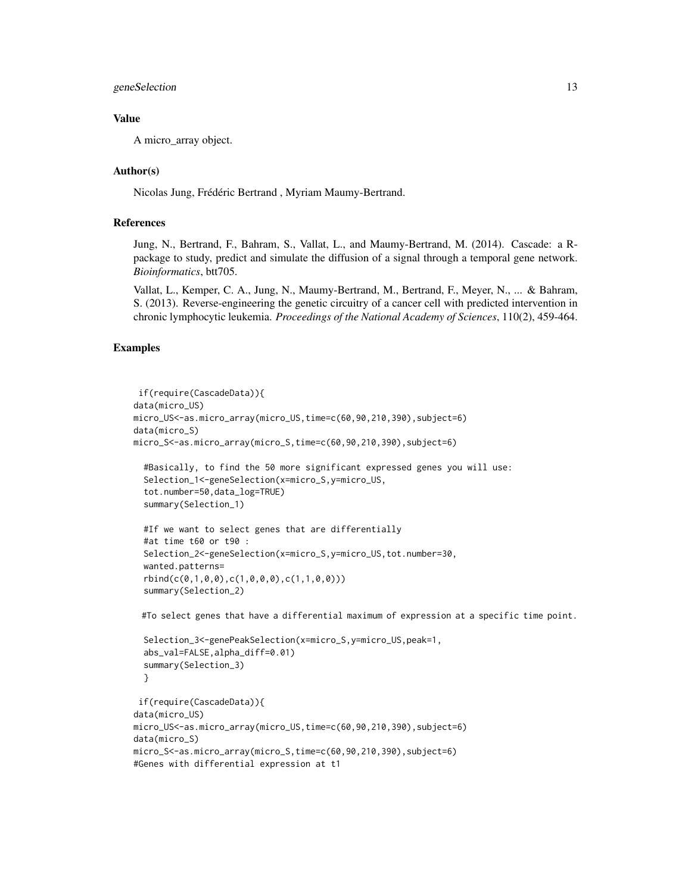# geneSelection 13

# Value

A micro\_array object.

#### Author(s)

Nicolas Jung, Frédéric Bertrand , Myriam Maumy-Bertrand.

#### References

Jung, N., Bertrand, F., Bahram, S., Vallat, L., and Maumy-Bertrand, M. (2014). Cascade: a Rpackage to study, predict and simulate the diffusion of a signal through a temporal gene network. *Bioinformatics*, btt705.

Vallat, L., Kemper, C. A., Jung, N., Maumy-Bertrand, M., Bertrand, F., Meyer, N., ... & Bahram, S. (2013). Reverse-engineering the genetic circuitry of a cancer cell with predicted intervention in chronic lymphocytic leukemia. *Proceedings of the National Academy of Sciences*, 110(2), 459-464.

#### Examples

```
if(require(CascadeData)){
data(micro_US)
micro_US<-as.micro_array(micro_US,time=c(60,90,210,390),subject=6)
data(micro_S)
micro_S<-as.micro_array(micro_S,time=c(60,90,210,390),subject=6)
 #Basically, to find the 50 more significant expressed genes you will use:
 Selection_1<-geneSelection(x=micro_S,y=micro_US,
 tot.number=50,data_log=TRUE)
 summary(Selection_1)
 #If we want to select genes that are differentially
 #at time t60 or t90 :
 Selection_2<-geneSelection(x=micro_S,y=micro_US,tot.number=30,
 wanted.patterns=
 rbind(c(0,1,0,0),c(1,0,0,0),c(1,1,0,0)))
 summary(Selection_2)
 #To select genes that have a differential maximum of expression at a specific time point.
 Selection_3<-genePeakSelection(x=micro_S,y=micro_US,peak=1,
 abs_val=FALSE,alpha_diff=0.01)
 summary(Selection_3)
 }
```

```
if(require(CascadeData)){
data(micro_US)
micro_US<-as.micro_array(micro_US,time=c(60,90,210,390),subject=6)
data(micro_S)
micro_S<-as.micro_array(micro_S,time=c(60,90,210,390),subject=6)
#Genes with differential expression at t1
```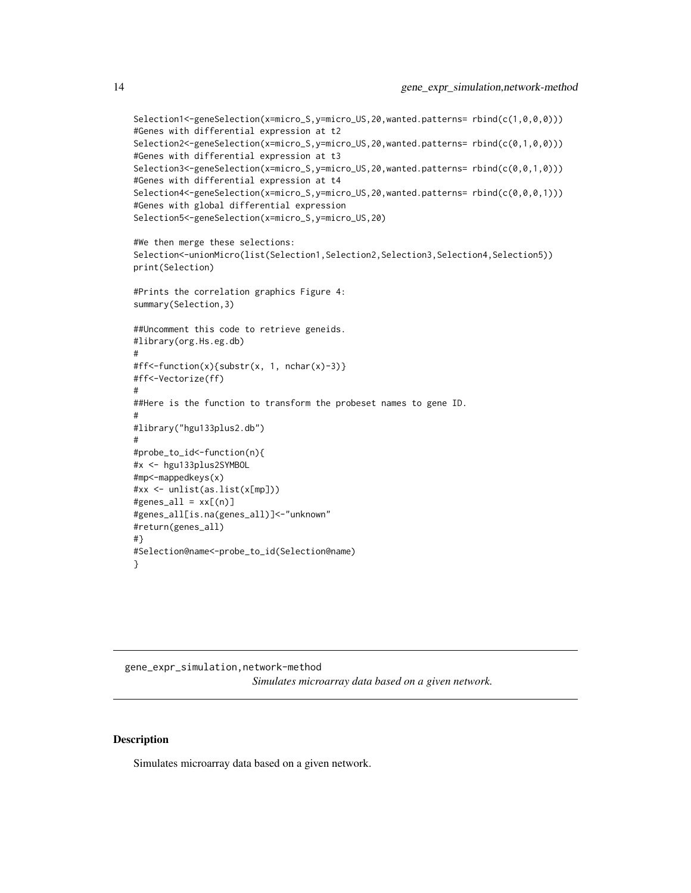```
Selection1<-geneSelection(x=micro_S,y=micro_US,20,wanted.patterns= rbind(c(1,0,0,0)))
#Genes with differential expression at t2
Selection2<-geneSelection(x=micro_S,y=micro_US,20,wanted.patterns= rbind(c(0,1,0,0)))
#Genes with differential expression at t3
Selection3<-geneSelection(x=micro_S,y=micro_US,20,wanted.patterns= rbind(c(0,0,1,0)))
#Genes with differential expression at t4
Selection4<-geneSelection(x=micro_S,y=micro_US,20,wanted.patterns= rbind(c(0,0,0,1)))
#Genes with global differential expression
Selection5<-geneSelection(x=micro_S,y=micro_US,20)
#We then merge these selections:
Selection<-unionMicro(list(Selection1,Selection2,Selection3,Selection4,Selection5))
print(Selection)
#Prints the correlation graphics Figure 4:
summary(Selection,3)
##Uncomment this code to retrieve geneids.
#library(org.Hs.eg.db)
#
#ff<-function(x){substr(x, 1, nchar(x)-3)}
#ff<-Vectorize(ff)
#
##Here is the function to transform the probeset names to gene ID.
#
#library("hgu133plus2.db")
#
#probe_to_id<-function(n){
#x <- hgu133plus2SYMBOL
#mp<-mappedkeys(x)
#xx <- unlist(as.list(x[mp]))
#genes\_all = xx[(n)]#genes_all[is.na(genes_all)]<-"unknown"
#return(genes_all)
#}
#Selection@name<-probe_to_id(Selection@name)
}
```
gene\_expr\_simulation,network-method *Simulates microarray data based on a given network.*

#### Description

Simulates microarray data based on a given network.

<span id="page-13-0"></span>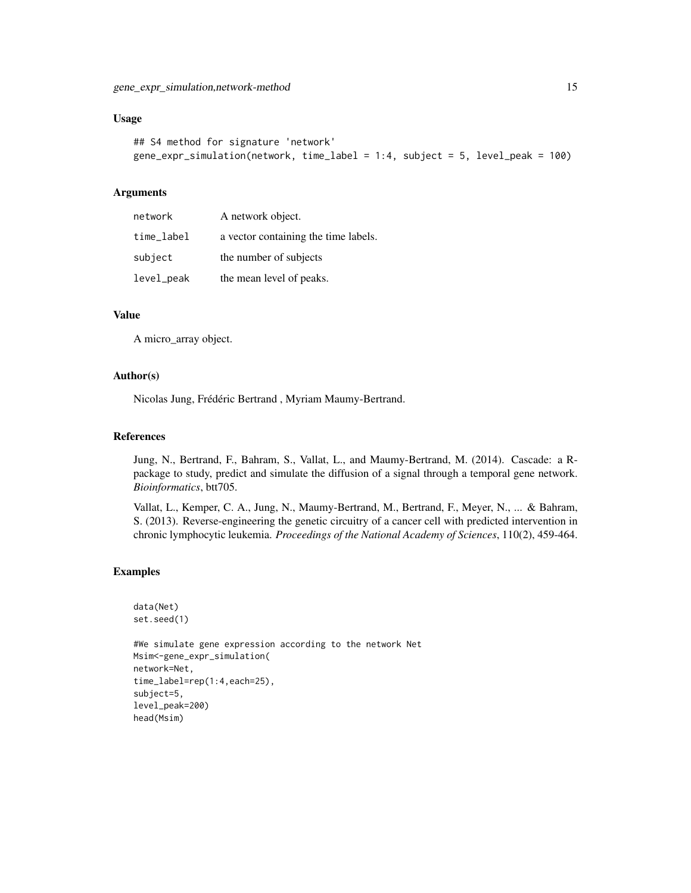#### Usage

```
## S4 method for signature 'network'
gene_expr_simulation(network, time_label = 1:4, subject = 5, level_peak = 100)
```
#### Arguments

| network    | A network object.                    |
|------------|--------------------------------------|
| time_label | a vector containing the time labels. |
| subject    | the number of subjects               |
| level_peak | the mean level of peaks.             |

#### Value

A micro\_array object.

#### Author(s)

Nicolas Jung, Frédéric Bertrand , Myriam Maumy-Bertrand.

#### References

Jung, N., Bertrand, F., Bahram, S., Vallat, L., and Maumy-Bertrand, M. (2014). Cascade: a Rpackage to study, predict and simulate the diffusion of a signal through a temporal gene network. *Bioinformatics*, btt705.

Vallat, L., Kemper, C. A., Jung, N., Maumy-Bertrand, M., Bertrand, F., Meyer, N., ... & Bahram, S. (2013). Reverse-engineering the genetic circuitry of a cancer cell with predicted intervention in chronic lymphocytic leukemia. *Proceedings of the National Academy of Sciences*, 110(2), 459-464.

#### Examples

```
data(Net)
set.seed(1)
```
#We simulate gene expression according to the network Net Msim<-gene\_expr\_simulation( network=Net, time\_label=rep(1:4,each=25), subject=5, level\_peak=200) head(Msim)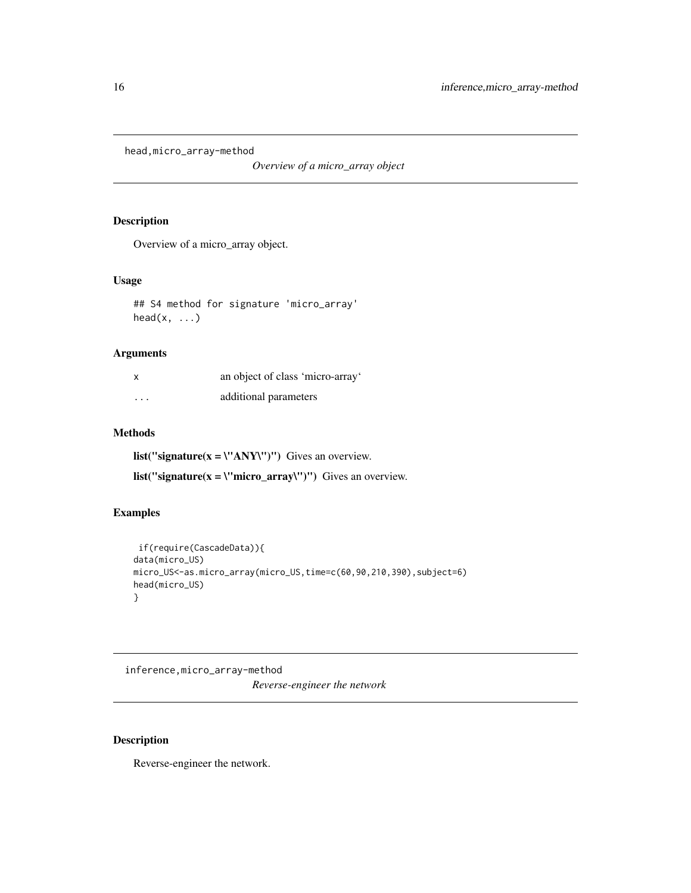<span id="page-15-0"></span>head,micro\_array-method

*Overview of a micro\_array object*

# Description

Overview of a micro\_array object.

# Usage

## S4 method for signature 'micro\_array'  $head(x, \ldots)$ 

# Arguments

|                         | an object of class 'micro-array' |
|-------------------------|----------------------------------|
| $\cdot$ $\cdot$ $\cdot$ | additional parameters            |

# Methods

list("signature( $x = \Upsilon'$ ANY\")") Gives an overview.

list("signature( $x = \text{``micro\_array''''''}$ ) Gives an overview.

# Examples

```
if(require(CascadeData)){
data(micro_US)
micro_US<-as.micro_array(micro_US,time=c(60,90,210,390),subject=6)
head(micro_US)
}
```
inference,micro\_array-method *Reverse-engineer the network*

# Description

Reverse-engineer the network.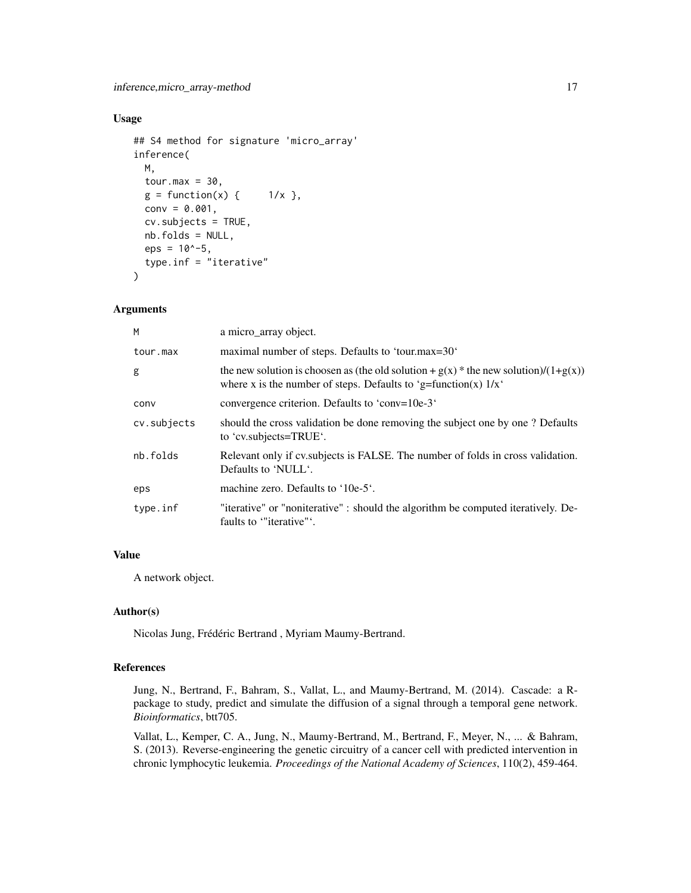# Usage

```
## S4 method for signature 'micro_array'
inference(
 M,
  tour.max = 30,
 g = function(x) { 1/x },
  conv = 0.001,cv.subjects = TRUE,
 nb.folds = NULL,
 eps = 10^{\circ}-5,
  type.inf = "iterative"
\lambda
```
#### Arguments

| M           | a micro_array object.                                                                                                                                           |
|-------------|-----------------------------------------------------------------------------------------------------------------------------------------------------------------|
| tour.max    | maximal number of steps. Defaults to 'tour.max=30'                                                                                                              |
| g           | the new solution is choosen as (the old solution + $g(x)$ * the new solution)/(1+ $g(x)$ )<br>where x is the number of steps. Defaults to 'g=function(x) $1/x'$ |
| conv        | convergence criterion. Defaults to 'conv=10e-3'                                                                                                                 |
| cv.subjects | should the cross validation be done removing the subject one by one? Defaults<br>to 'cv.subjects=TRUE'.                                                         |
| nb.folds    | Relevant only if cv. subjects is FALSE. The number of folds in cross validation.<br>Defaults to 'NULL'.                                                         |
| eps         | machine zero. Defaults to '10e-5'.                                                                                                                              |
| type.inf    | "iterative" or "noniterative" : should the algorithm be computed iteratively. De-<br>faults to "iterative".                                                     |
|             |                                                                                                                                                                 |

# Value

A network object.

#### Author(s)

Nicolas Jung, Frédéric Bertrand , Myriam Maumy-Bertrand.

# References

Jung, N., Bertrand, F., Bahram, S., Vallat, L., and Maumy-Bertrand, M. (2014). Cascade: a Rpackage to study, predict and simulate the diffusion of a signal through a temporal gene network. *Bioinformatics*, btt705.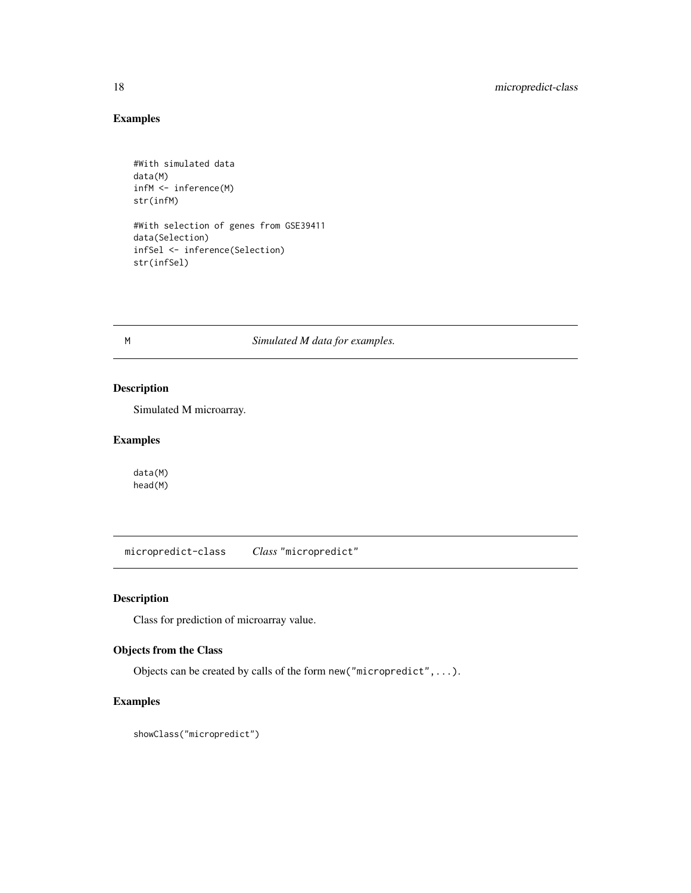# Examples

```
#With simulated data
data(M)
infM <- inference(M)
str(infM)
#With selection of genes from GSE39411
```
data(Selection) infSel <- inference(Selection) str(infSel)

M *Simulated M data for examples.*

# Description

Simulated M microarray.

# Examples

data(M) head(M)

micropredict-class *Class* "micropredict"

# Description

Class for prediction of microarray value.

# Objects from the Class

Objects can be created by calls of the form new("micropredict",...).

# Examples

showClass("micropredict")

<span id="page-17-0"></span>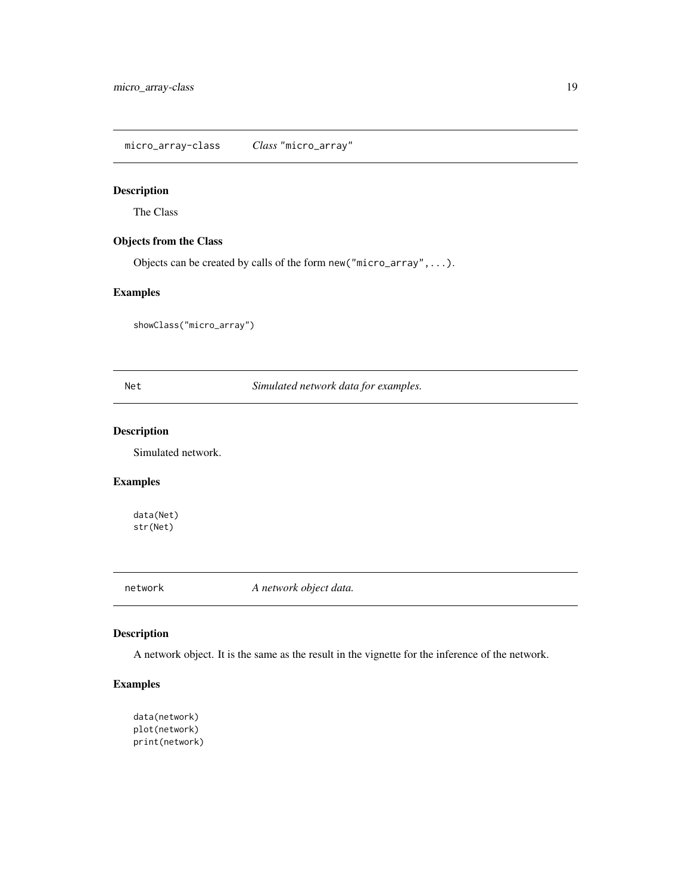<span id="page-18-0"></span>micro\_array-class *Class* "micro\_array"

# Description

The Class

# Objects from the Class

Objects can be created by calls of the form new("micro\_array",...).

# Examples

showClass("micro\_array")

Net *Simulated network data for examples.*

# Description

Simulated network.

#### Examples

data(Net) str(Net)

network *A network object data.*

# Description

A network object. It is the same as the result in the vignette for the inference of the network.

# Examples

data(network) plot(network) print(network)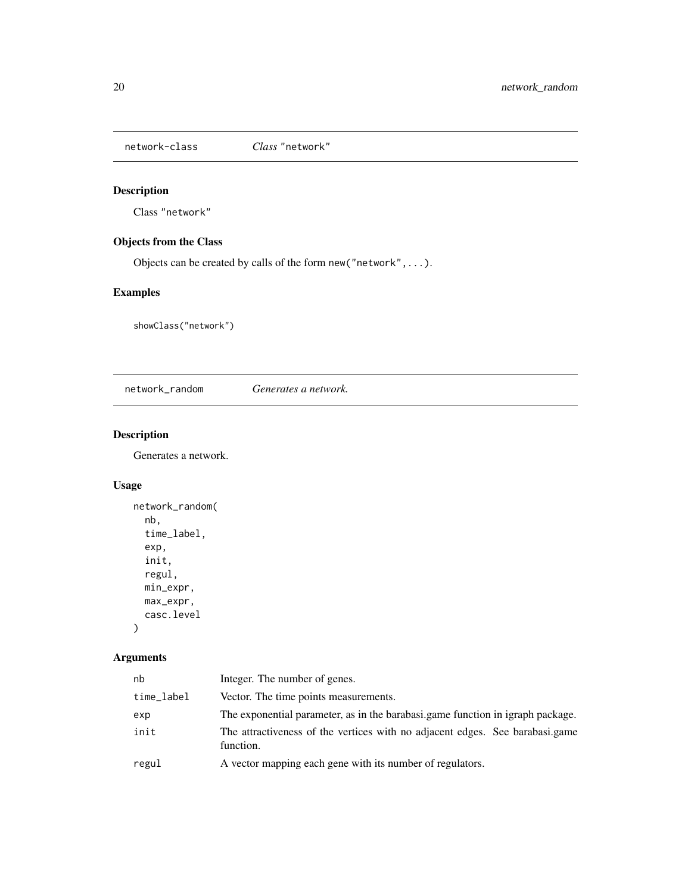<span id="page-19-0"></span>network-class *Class* "network"

# Description

Class "network"

# Objects from the Class

Objects can be created by calls of the form new("network",...).

# Examples

showClass("network")

network\_random *Generates a network.*

# Description

Generates a network.

# Usage

```
network_random(
 nb,
  time_label,
  exp,
  init,
  regul,
 min_expr,
 max_expr,
 casc.level
)
```
# Arguments

| nb         | Integer. The number of genes.                                                             |
|------------|-------------------------------------------------------------------------------------------|
| time_label | Vector. The time points measurements.                                                     |
| exp        | The exponential parameter, as in the barabasi.game function in igraph package.            |
| init       | The attractiveness of the vertices with no adjacent edges. See barabasi.game<br>function. |
| regul      | A vector mapping each gene with its number of regulators.                                 |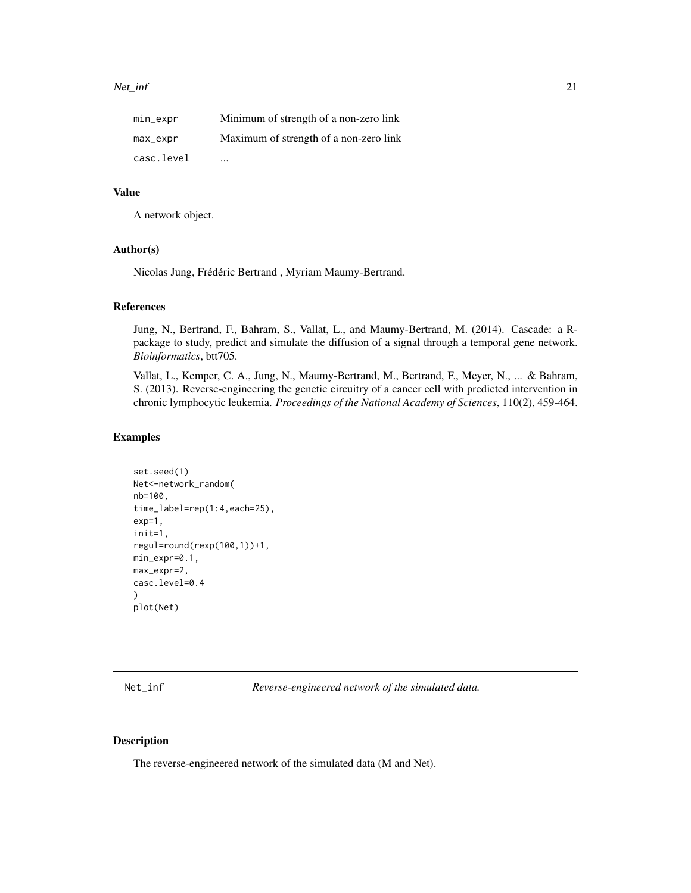<span id="page-20-0"></span>

| $min\_expr$ | Minimum of strength of a non-zero link |
|-------------|----------------------------------------|
| max_expr    | Maximum of strength of a non-zero link |
| casc.level  | $\cdots$                               |

# Value

A network object.

#### Author(s)

Nicolas Jung, Frédéric Bertrand , Myriam Maumy-Bertrand.

#### References

Jung, N., Bertrand, F., Bahram, S., Vallat, L., and Maumy-Bertrand, M. (2014). Cascade: a Rpackage to study, predict and simulate the diffusion of a signal through a temporal gene network. *Bioinformatics*, btt705.

Vallat, L., Kemper, C. A., Jung, N., Maumy-Bertrand, M., Bertrand, F., Meyer, N., ... & Bahram, S. (2013). Reverse-engineering the genetic circuitry of a cancer cell with predicted intervention in chronic lymphocytic leukemia. *Proceedings of the National Academy of Sciences*, 110(2), 459-464.

#### Examples

```
set.seed(1)
Net<-network_random(
nb=100,
time_label=rep(1:4,each=25),
exp=1,
init=1,
regul=round(rexp(100,1))+1,
min_expr=0.1,
max_expr=2,
casc.level=0.4
)
plot(Net)
```
Net\_inf *Reverse-engineered network of the simulated data.*

#### Description

The reverse-engineered network of the simulated data (M and Net).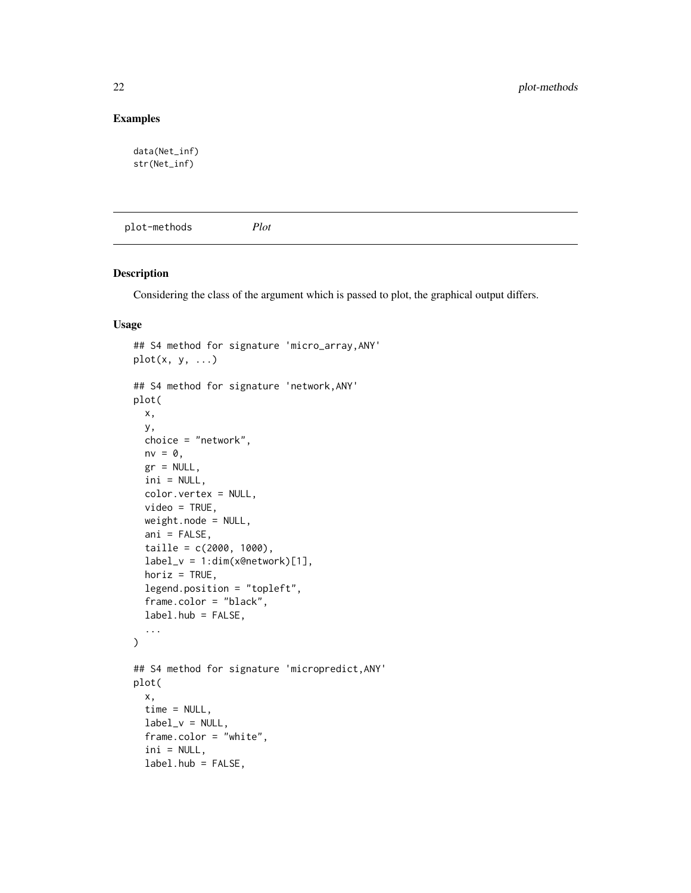# <span id="page-21-0"></span>Examples

```
data(Net_inf)
str(Net_inf)
```
plot-methods *Plot*

# Description

Considering the class of the argument which is passed to plot, the graphical output differs.

#### Usage

```
## S4 method for signature 'micro_array,ANY'
plot(x, y, ...)
## S4 method for signature 'network,ANY'
plot(
  x,
  y,
  choice = "network",
  nv = 0,
  gr = NULL,ini = NULL,
  color.vertex = NULL,
  video = TRUE,
  weight.node = NULL,
  ani = FALSE,
  taille = c(2000, 1000),label_v = 1:dim(x@network)[1],horiz = TRUE,
  legend.position = "topleft",
  frame.color = "black",
  label.hub = FALSE,
  ...
)
## S4 method for signature 'micropredict,ANY'
plot(
  x,
  time = NULL,
  label_v = NULL,frame.color = "white",
  ini = NULL,label.hub = FALSE,
```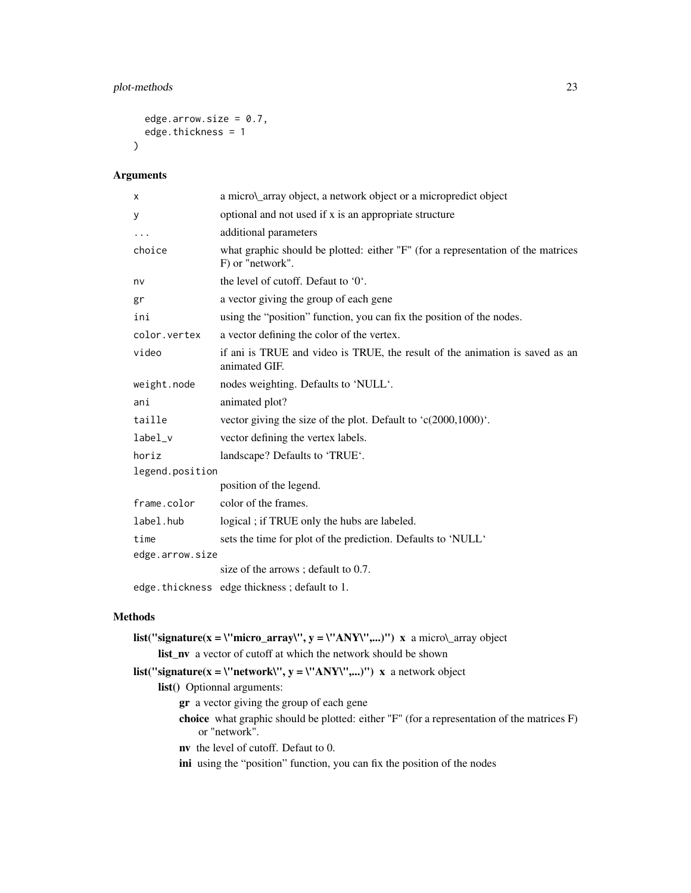# plot-methods 23

```
edge.arrow.size = 0.7,
  edge.thickness = 1
\mathcal{L}
```
# Arguments

| X               | a micro\_array object, a network object or a micropredict object                                     |
|-----------------|------------------------------------------------------------------------------------------------------|
| У               | optional and not used if x is an appropriate structure                                               |
| $\cdots$        | additional parameters                                                                                |
| choice          | what graphic should be plotted: either "F" (for a representation of the matrices<br>F) or "network". |
| nv              | the level of cutoff. Defaut to '0'.                                                                  |
| gr              | a vector giving the group of each gene                                                               |
| ini             | using the "position" function, you can fix the position of the nodes.                                |
| color.vertex    | a vector defining the color of the vertex.                                                           |
| video           | if ani is TRUE and video is TRUE, the result of the animation is saved as an<br>animated GIF.        |
| weight.node     | nodes weighting. Defaults to 'NULL'.                                                                 |
| ani             | animated plot?                                                                                       |
| taille          | vector giving the size of the plot. Default to $(c(2000, 1000)^{\circ})$ .                           |
| label_v         | vector defining the vertex labels.                                                                   |
| horiz           | landscape? Defaults to 'TRUE'.                                                                       |
| legend.position |                                                                                                      |
|                 | position of the legend.                                                                              |
| frame.color     | color of the frames.                                                                                 |
| label.hub       | logical; if TRUE only the hubs are labeled.                                                          |
| time            | sets the time for plot of the prediction. Defaults to 'NULL'                                         |
| edge.arrow.size |                                                                                                      |
|                 | size of the arrows; default to 0.7.                                                                  |
|                 | edge.thickness edge thickness; default to 1.                                                         |

# Methods

| <b>list</b> ("signature(x = \"micro_array\", y = \"ANY\",)") x a micro\_array object                                      |
|---------------------------------------------------------------------------------------------------------------------------|
| <b>list nv</b> a vector of cutoff at which the network should be shown                                                    |
| list("signature(x = \"network\", y = \"ANY\",)") x a network object                                                       |
| <b>list</b> () Optionnal arguments:                                                                                       |
| <b>gr</b> a vector giving the group of each gene                                                                          |
| <b>choice</b> what graphic should be plotted: either $\Gamma$ " (for a representation of the matrices F)<br>or "network". |
| <b>nv</b> the level of cutoff. Defaut to 0.                                                                               |
| ini using the "position" function, you can fix the position of the nodes                                                  |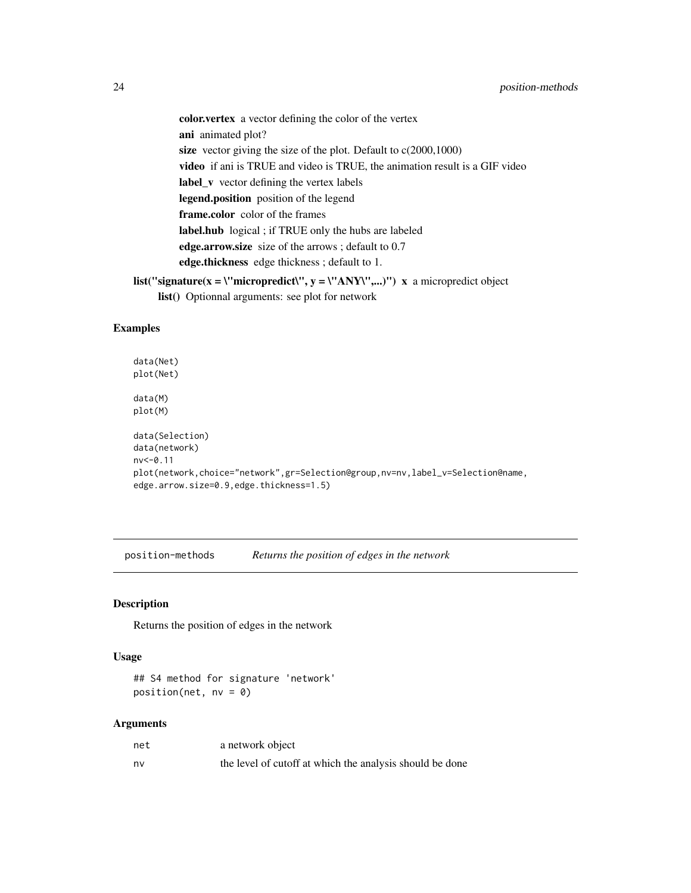<span id="page-23-0"></span>color.vertex a vector defining the color of the vertex ani animated plot? size vector giving the size of the plot. Default to  $c(2000,1000)$ video if ani is TRUE and video is TRUE, the animation result is a GIF video label\_v vector defining the vertex labels legend.position position of the legend frame.color color of the frames label.hub logical ; if TRUE only the hubs are labeled edge.arrow.size size of the arrows ; default to 0.7 edge.thickness edge thickness ; default to 1. list("signature(x = \"micropredict\", y = \"ANY\",...)") x a micropredict object

list() Optionnal arguments: see plot for network

# Examples

data(Net) plot(Net) data(M) plot(M) data(Selection) data(network) nv<-0.11 plot(network,choice="network",gr=Selection@group,nv=nv,label\_v=Selection@name, edge.arrow.size=0.9,edge.thickness=1.5)

position-methods *Returns the position of edges in the network*

#### Description

Returns the position of edges in the network

# Usage

## S4 method for signature 'network'  $position(net, nv = 0)$ 

#### Arguments

| net | a network object                                         |
|-----|----------------------------------------------------------|
| nv  | the level of cutoff at which the analysis should be done |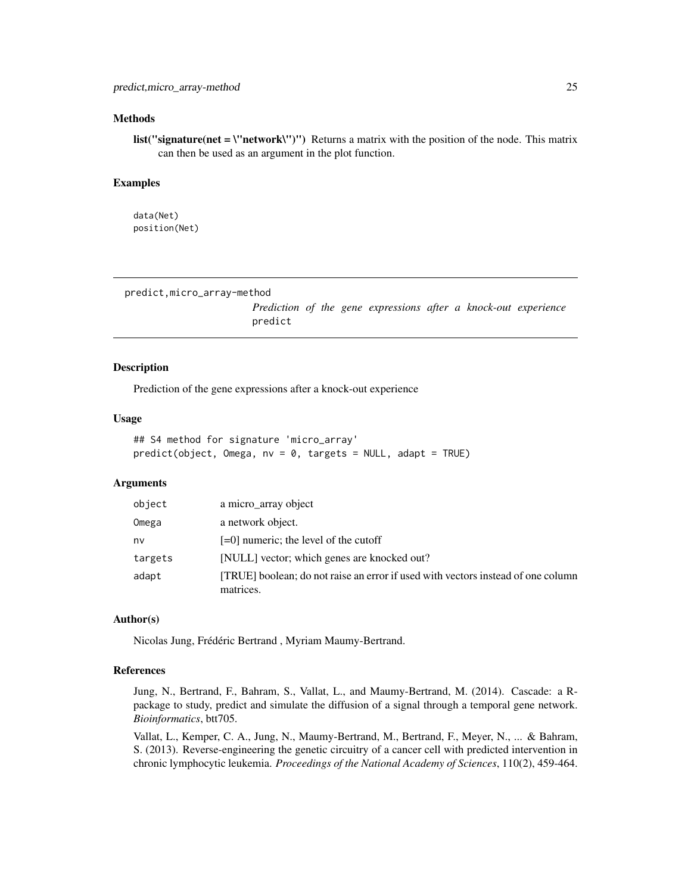#### <span id="page-24-0"></span>Methods

**list("signature(net = \"network\")")** Returns a matrix with the position of the node. This matrix can then be used as an argument in the plot function.

#### Examples

data(Net) position(Net)

predict,micro\_array-method

*Prediction of the gene expressions after a knock-out experience* predict

#### Description

Prediction of the gene expressions after a knock-out experience

#### Usage

```
## S4 method for signature 'micro_array'
predict(object, Omega, nv = 0, targets = NULL, adapt = TRUE)
```
# Arguments

| object  | a micro_array object                                                                          |
|---------|-----------------------------------------------------------------------------------------------|
| Omega   | a network object.                                                                             |
| nv      | $[-0]$ numeric; the level of the cutoff                                                       |
| targets | [NULL] vector; which genes are knocked out?                                                   |
| adapt   | [TRUE] boolean; do not raise an error if used with vectors instead of one column<br>matrices. |

## Author(s)

Nicolas Jung, Frédéric Bertrand , Myriam Maumy-Bertrand.

#### References

Jung, N., Bertrand, F., Bahram, S., Vallat, L., and Maumy-Bertrand, M. (2014). Cascade: a Rpackage to study, predict and simulate the diffusion of a signal through a temporal gene network. *Bioinformatics*, btt705.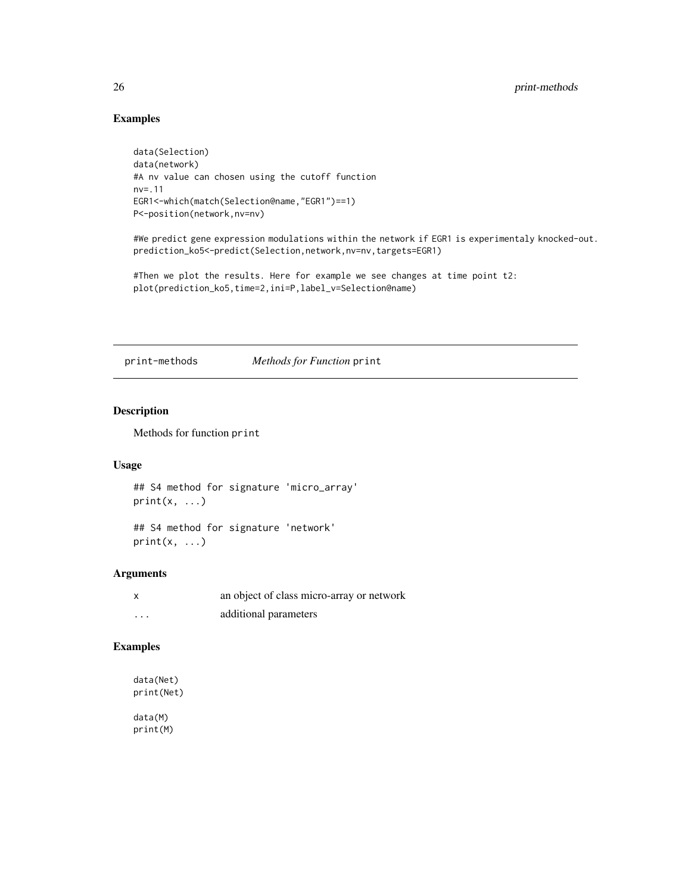# Examples

```
data(Selection)
data(network)
#A nv value can chosen using the cutoff function
nv=.11
EGR1<-which(match(Selection@name,"EGR1")==1)
P<-position(network,nv=nv)
```
#We predict gene expression modulations within the network if EGR1 is experimentaly knocked-out. prediction\_ko5<-predict(Selection,network,nv=nv,targets=EGR1)

#Then we plot the results. Here for example we see changes at time point t2: plot(prediction\_ko5,time=2,ini=P,label\_v=Selection@name)

print-methods *Methods for Function* print

# Description

Methods for function print

# Usage

```
## S4 method for signature 'micro_array'
print(x, \ldots)
```
## S4 method for signature 'network'  $print(x, \ldots)$ 

#### Arguments

| x        | an object of class micro-array or network |
|----------|-------------------------------------------|
| $\cdots$ | additional parameters                     |

#### Examples

```
data(Net)
print(Net)
data(M)
print(M)
```
<span id="page-25-0"></span>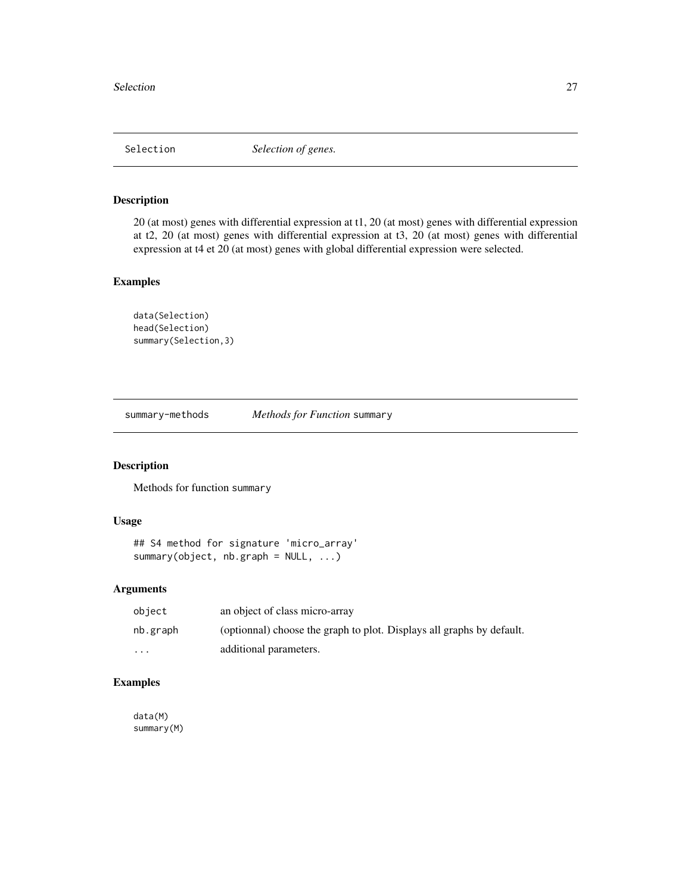<span id="page-26-0"></span>

#### Description

20 (at most) genes with differential expression at t1, 20 (at most) genes with differential expression at t2, 20 (at most) genes with differential expression at t3, 20 (at most) genes with differential expression at t4 et 20 (at most) genes with global differential expression were selected.

# Examples

```
data(Selection)
head(Selection)
summary(Selection,3)
```
summary-methods *Methods for Function* summary

# Description

Methods for function summary

# Usage

```
## S4 method for signature 'micro_array'
summary(object, nb.graph = NULL, ...)
```
# Arguments

| object                  | an object of class micro-array                                        |
|-------------------------|-----------------------------------------------------------------------|
| nb.graph                | (optionnal) choose the graph to plot. Displays all graphs by default. |
| $\cdot$ $\cdot$ $\cdot$ | additional parameters.                                                |

# Examples

data(M) summary(M)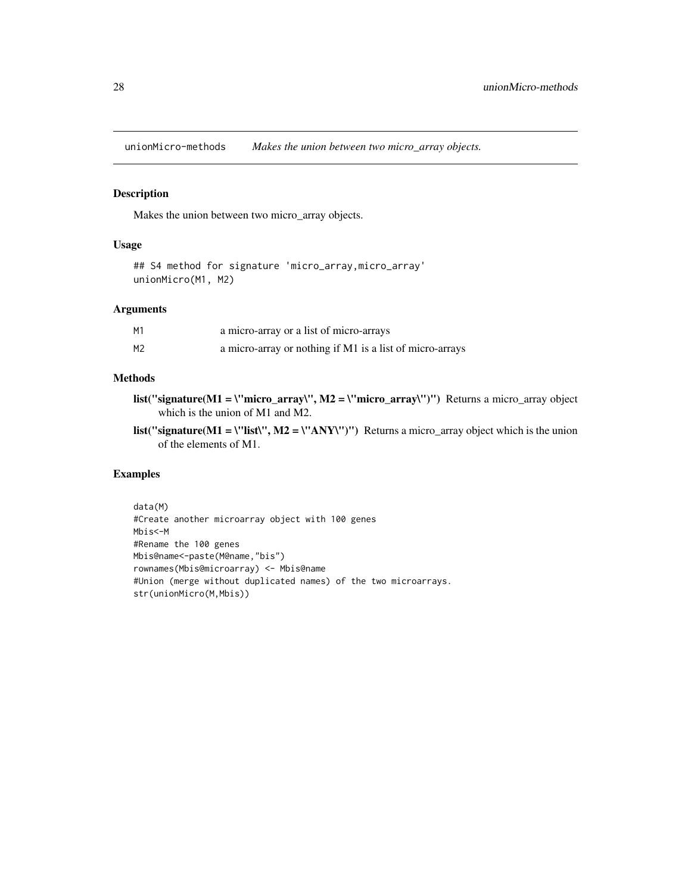<span id="page-27-0"></span>unionMicro-methods *Makes the union between two micro\_array objects.*

# Description

Makes the union between two micro\_array objects.

# Usage

```
## S4 method for signature 'micro_array,micro_array'
unionMicro(M1, M2)
```
# Arguments

| М1 | a micro-array or a list of micro-arrays                  |
|----|----------------------------------------------------------|
| М2 | a micro-array or nothing if M1 is a list of micro-arrays |

# Methods

- list("signature(M1 = \"micro\_array\", M2 = \"micro\_array\")") Returns a micro\_array object which is the union of M1 and M2.
- list("signature( $M1 = \text{V}$ list\",  $M2 = \text{V}$ 'ANY\")") Returns a micro\_array object which is the union of the elements of M1.

# Examples

```
data(M)
#Create another microarray object with 100 genes
Mbis<-M
#Rename the 100 genes
Mbis@name<-paste(M@name,"bis")
rownames(Mbis@microarray) <- Mbis@name
#Union (merge without duplicated names) of the two microarrays.
str(unionMicro(M,Mbis))
```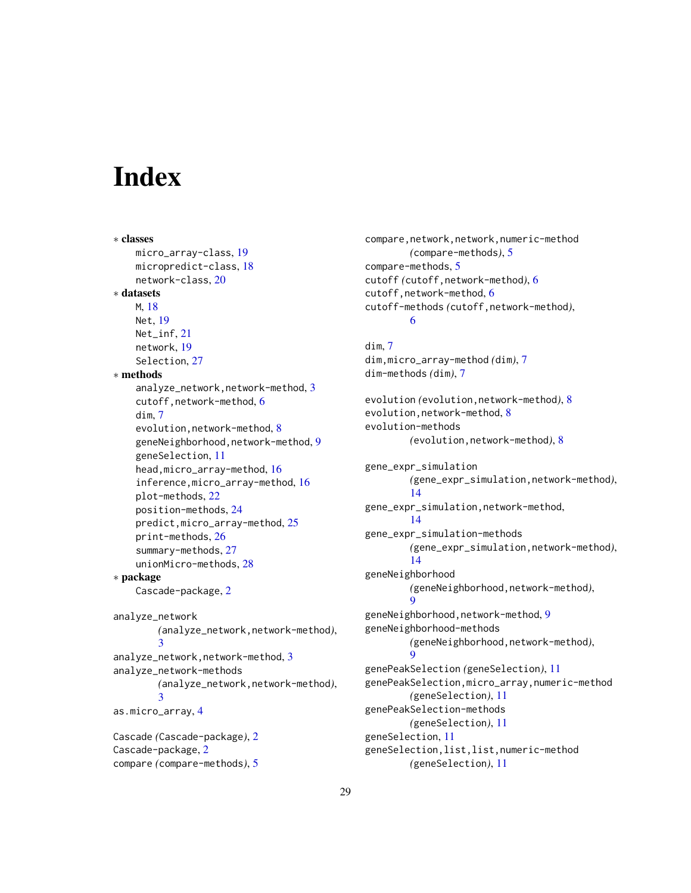# <span id="page-28-0"></span>**Index**

∗ classes micro\_array-class, [19](#page-18-0) micropredict-class, [18](#page-17-0) network-class, [20](#page-19-0) ∗ datasets M, [18](#page-17-0) Net, [19](#page-18-0) Net\_inf, [21](#page-20-0) network, [19](#page-18-0) Selection, [27](#page-26-0) ∗ methods analyze\_network,network-method, [3](#page-2-0) cutoff,network-method, [6](#page-5-0) dim, [7](#page-6-0) evolution, network-method, [8](#page-7-0) geneNeighborhood,network-method, [9](#page-8-0) geneSelection, [11](#page-10-0) head,micro\_array-method, [16](#page-15-0) inference,micro\_array-method, [16](#page-15-0) plot-methods, [22](#page-21-0) position-methods, [24](#page-23-0) predict,micro\_array-method, [25](#page-24-0) print-methods, [26](#page-25-0) summary-methods, [27](#page-26-0) unionMicro-methods, [28](#page-27-0) ∗ package Cascade-package, [2](#page-1-0) analyze\_network *(*analyze\_network,network-method*)*, [3](#page-2-0) analyze\_network,network-method, [3](#page-2-0) analyze\_network-methods *(*analyze\_network,network-method*)*, [3](#page-2-0) as.micro\_array, [4](#page-3-0) Cascade *(*Cascade-package*)*, [2](#page-1-0) Cascade-package, [2](#page-1-0) compare *(*compare-methods*)*, [5](#page-4-0)

compare,network,network,numeric-method *(*compare-methods*)*, [5](#page-4-0) compare-methods, [5](#page-4-0) cutoff *(*cutoff,network-method*)*, [6](#page-5-0) cutoff,network-method, [6](#page-5-0) cutoff-methods *(*cutoff,network-method*)*, [6](#page-5-0)

dim, [7](#page-6-0) dim,micro\_array-method *(*dim*)*, [7](#page-6-0) dim-methods *(*dim*)*, [7](#page-6-0)

```
evolution (evolution,network-method), 8
8
evolution-methods
        (evolution,network-method), 8
gene_expr_simulation
        (gene_expr_simulation,network-method),
        14
gene_expr_simulation,network-method,
        14
gene_expr_simulation-methods
        (gene_expr_simulation,network-method),
        14
geneNeighborhood
        (geneNeighborhood,network-method),
        9
geneNeighborhood,network-method, 9
geneNeighborhood-methods
        (geneNeighborhood,network-method),
        \mathbf QgenePeakSelection (geneSelection), 11
genePeakSelection,micro_array,numeric-method
        (geneSelection), 11
genePeakSelection-methods
        (geneSelection), 11
geneSelection, 11
geneSelection,list,list,numeric-method
        (geneSelection), 11
```